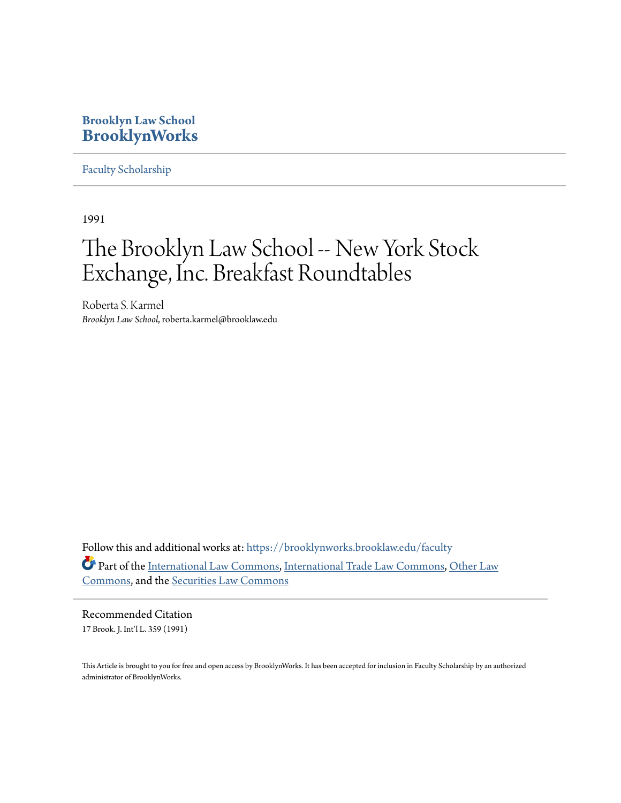### **Brooklyn Law School [BrooklynWorks](https://brooklynworks.brooklaw.edu?utm_source=brooklynworks.brooklaw.edu%2Ffaculty%2F410&utm_medium=PDF&utm_campaign=PDFCoverPages)**

[Faculty Scholarship](https://brooklynworks.brooklaw.edu/faculty?utm_source=brooklynworks.brooklaw.edu%2Ffaculty%2F410&utm_medium=PDF&utm_campaign=PDFCoverPages)

1991

# The Brooklyn Law School -- New York Stock Exchange, Inc. Breakfast Roundtables

Roberta S. Karmel *Brooklyn Law School*, roberta.karmel@brooklaw.edu

Follow this and additional works at: [https://brooklynworks.brooklaw.edu/faculty](https://brooklynworks.brooklaw.edu/faculty?utm_source=brooklynworks.brooklaw.edu%2Ffaculty%2F410&utm_medium=PDF&utm_campaign=PDFCoverPages) Part of the [International Law Commons,](http://network.bepress.com/hgg/discipline/609?utm_source=brooklynworks.brooklaw.edu%2Ffaculty%2F410&utm_medium=PDF&utm_campaign=PDFCoverPages) [International Trade Law Commons](http://network.bepress.com/hgg/discipline/848?utm_source=brooklynworks.brooklaw.edu%2Ffaculty%2F410&utm_medium=PDF&utm_campaign=PDFCoverPages), [Other Law](http://network.bepress.com/hgg/discipline/621?utm_source=brooklynworks.brooklaw.edu%2Ffaculty%2F410&utm_medium=PDF&utm_campaign=PDFCoverPages) [Commons,](http://network.bepress.com/hgg/discipline/621?utm_source=brooklynworks.brooklaw.edu%2Ffaculty%2F410&utm_medium=PDF&utm_campaign=PDFCoverPages) and the [Securities Law Commons](http://network.bepress.com/hgg/discipline/619?utm_source=brooklynworks.brooklaw.edu%2Ffaculty%2F410&utm_medium=PDF&utm_campaign=PDFCoverPages)

Recommended Citation 17 Brook. J. Int'l L. 359 (1991)

This Article is brought to you for free and open access by BrooklynWorks. It has been accepted for inclusion in Faculty Scholarship by an authorized administrator of BrooklynWorks.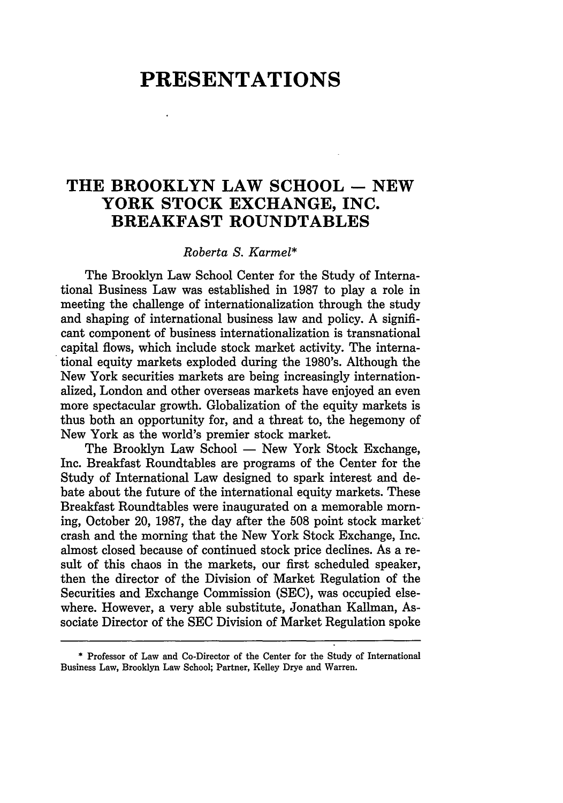## **PRESENTATIONS**

### **THE BROOKLYN LAW SCHOOL - NEW YORK STOCK EXCHANGE, INC. BREAKFAST ROUNDTABLES**

#### *Roberta S. Karmel\**

The Brooklyn Law School Center for the Study of International Business Law was established in 1987 to play a role in meeting the challenge of internationalization through the study and shaping of international business law and policy. A significant component of business internationalization is transnational capital flows, which include stock market activity. The international equity markets exploded during the 1980's. Although the New York securities markets are being increasingly internationalized, London and other overseas markets have enjoyed an even more spectacular growth. Globalization of the equity markets is thus both an opportunity for, and a threat to, the hegemony of New York as the world's premier stock market.

The Brooklyn Law School - New York Stock Exchange. Inc. Breakfast Roundtables are programs of the Center for the Study of International Law designed to spark interest and debate about the future of the international equity markets. These Breakfast Roundtables were inaugurated on a memorable morning, October 20, 1987, the day after the 508 point stock market crash and the morning that the New York Stock Exchange, Inc. almost closed because of continued stock price declines. As a result of this chaos in the markets, our first scheduled speaker, then the director of the Division of Market Regulation of the Securities and Exchange Commission (SEC), was occupied elsewhere. However, a very able substitute, Jonathan Kallman, Associate Director of the SEC Division of Market Regulation spoke

<sup>\*</sup> Professor of Law and Co-Director of the Center for the Study of International Business Law, Brooklyn Law School; Partner, Kelley Drye and Warren.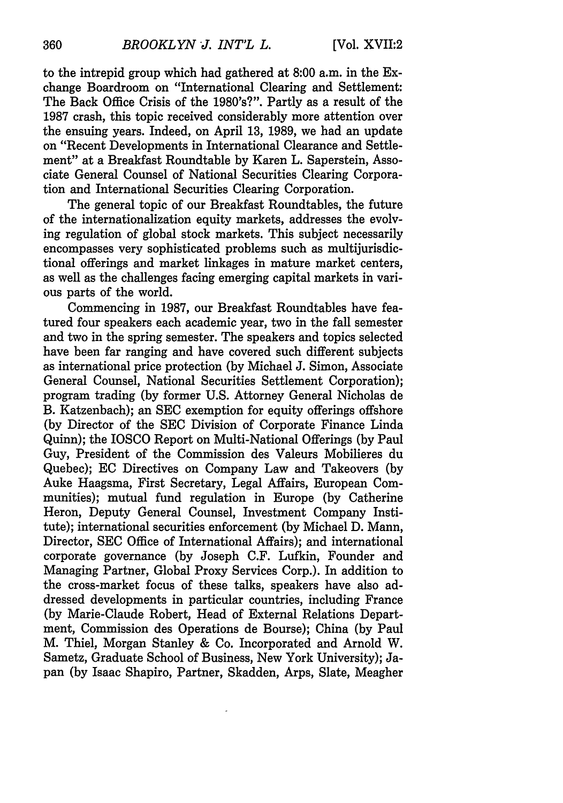to the intrepid group which had gathered at 8:00 a.m. in the Exchange Boardroom on "International Clearing and Settlement: The Back Office Crisis of the 1980's?". Partly as a result of the 1987 crash, this topic received considerably more attention over the ensuing years. Indeed, on April 13, 1989, we had an update on "Recent Developments in International Clearance and Settlement" at a Breakfast Roundtable by Karen L. Saperstein, Associate General Counsel of National Securities Clearing Corporation and International Securities Clearing Corporation.

The general topic of our Breakfast Roundtables, the future of the internationalization equity markets, addresses the evolving regulation of global stock markets. This subject necessarily encompasses very sophisticated problems such as multijurisdictional offerings and market linkages in mature market centers, as well as the challenges facing emerging capital markets in various parts of the world.

Commencing in 1987, our Breakfast Roundtables have featured four speakers each academic year, two in the fall semester and two in the spring semester. The speakers and topics selected have been far ranging and have covered such different subjects as international price protection (by Michael J. Simon, Associate General Counsel, National Securities Settlement Corporation); program trading (by former U.S. Attorney General Nicholas de B. Katzenbach); an SEC exemption for equity offerings offshore (by Director of the SEC Division of Corporate Finance Linda Quinn); the IOSCO Report on Multi-National Offerings (by Paul Guy, President of the Commission des Valeurs Mobilieres du Quebec); EC Directives on Company Law and Takeovers (by Auke Haagsma, First Secretary, Legal Affairs, European Communities); mutual fund regulation in Europe (by Catherine Heron, Deputy General Counsel, Investment Company Institute); international securities enforcement (by Michael D. Mann, Director, SEC Office of International Affairs); and international corporate governance (by Joseph C.F. Lufkin, Founder and Managing Partner, Global Proxy Services Corp.). In addition to the cross-market focus of these talks, speakers have also addressed developments in particular countries, including France (by Marie-Claude Robert, Head of External Relations Department, Commission des Operations de Bourse); China (by Paul M. Thiel, Morgan Stanley & Co. Incorporated and Arnold W. Sametz, Graduate School of Business, New York University); Japan (by Isaac Shapiro, Partner, Skadden, Arps, Slate, Meagher

360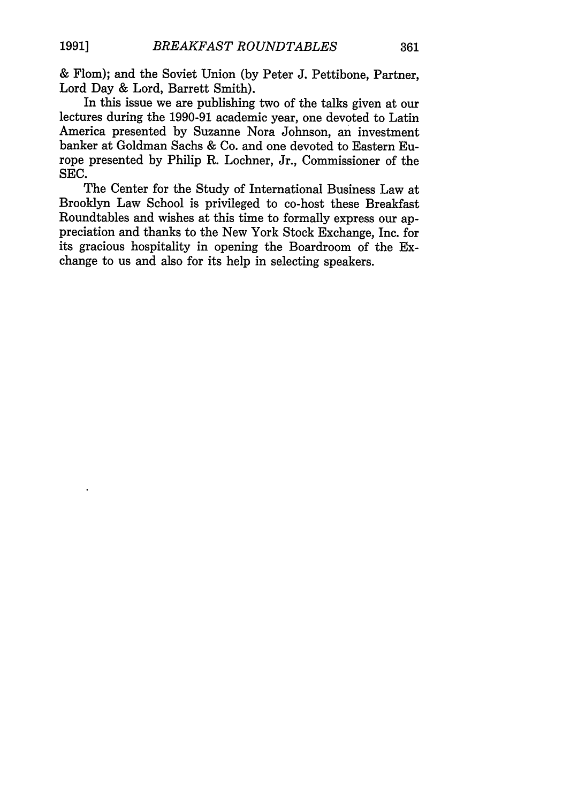& Flom); and the Soviet Union (by Peter J. Pettibone, Partner, Lord Day & Lord, Barrett Smith).

In this issue we are publishing two of the talks given at our lectures during the 1990-91 academic year, one devoted to Latin America presented by Suzanne Nora Johnson, an investment banker at Goldman Sachs & Co. and one devoted to Eastern Europe presented by Philip R. Lochner, Jr., Commissioner of the SEC.

The Center for the Study of International Business Law at Brooklyn Law School is privileged to co-host these Breakfast Roundtables and wishes at this time to formally express our appreciation and thanks to the New York Stock Exchange, Inc. for its gracious hospitality in opening the Boardroom of the Exchange to us and also for its help in selecting speakers.